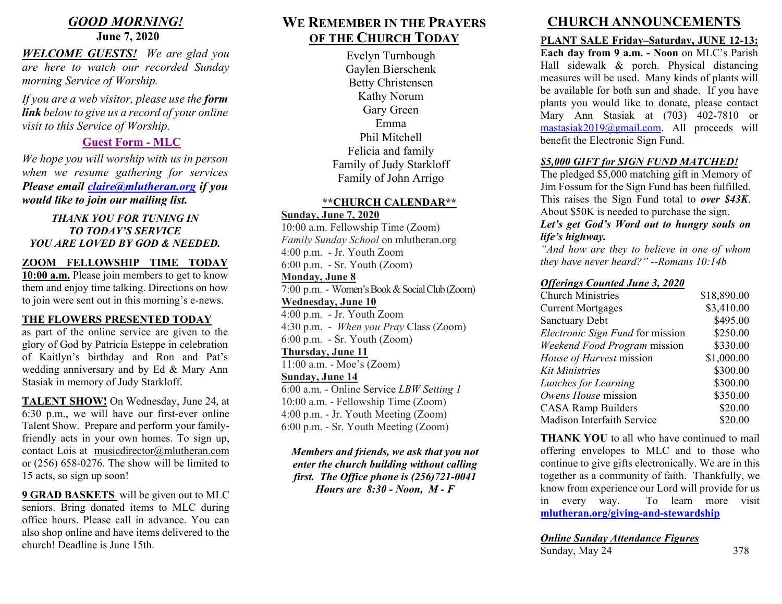# *GOOD MORNING!*

# **June 7, 2020**

*WELCOME GUESTS! We are glad you are here to watch our recorded Sunday morning Service of Worship.* 

*If you are a web visitor, please use the form link below to give us a record of your online visit to this Service of Worship.* 

# **[Guest Form -](https://docs.google.com/forms/d/e/1FAIpQLSf1h9pffP9qU-W67MdU_EB1qZHCP7kNBJdj3QLq_CVRPxxV8A/viewform?vc=0&c=0&w=1) MLC**

*We hope you will worship with us in person when we resume gathering for services Please email [claire@mlutheran.org](mailto:claire@mlutheran.org) if you would like to join our mailing list.*

#### *THANK YOU FOR TUNING IN TO TODAY'S SERVICE YOU ARE LOVED BY GOD & NEEDED.*

### **ZOOM FELLOWSHIP TIME TODAY**

**10:00 a.m.** Please join members to get to know them and enjoy time talking. Directions on how to join were sent out in this morning's e-news.

### **THE FLOWERS PRESENTED TODAY**

as part of the online service are given to the glory of God by Patricia Esteppe in celebration of Kaitlyn's birthday and Ron and Pat's wedding anniversary and by Ed & Mary Ann Stasiak in memory of Judy Starkloff.

**TALENT SHOW!** On Wednesday, June 24, at 6:30 p.m., we will have our first-ever online Talent Show. Prepare and perform your familyfriendly acts in your own homes. To sign up, contact Lois at [musicdirector@mlutheran.com](mailto:musicdirector@mlutheran.com) or (256) 658-0276. The show will be limited to 15 acts, so sign up soon!

**9 GRAD BASKETS** will be given out to MLC seniors. Bring donated items to MLC during office hours. Please call in advance. You can also shop online and have items delivered to the church! Deadline is June 15th.

# **WE REMEMBER IN THE PRAYERS OF THE CHURCH TODAY**

Evelyn Turnbough Gaylen Bierschenk Betty Christensen Kathy Norum Gary Green Emma Phil Mitchell Felicia and family Family of Judy Starkloff Family of John Arrigo

#### **\*\*CHURCH CALENDAR\*\***

### **Sunday, June 7, 2020**

10:00 a.m. Fellowship Time (Zoom) *Family Sunday School* on mlutheran.org 4:00 p.m. - Jr. Youth Zoom 6:00 p.m. - Sr. Youth (Zoom) **Monday, June 8** 7:00 p.m. - Women's Book & Social Club (Zoom) **Wednesday, June 10** 4:00 p.m. - Jr. Youth Zoom 4:30 p.m. - *When you Pray* Class (Zoom) 6:00 p.m. - Sr. Youth (Zoom) **Thursday, June 11** 11:00 a.m. - Moe's (Zoom) **Sunday, June 14** 6:00 a.m. - Online Service *LBW Setting 1* 10:00 a.m. - Fellowship Time (Zoom) 4:00 p.m. - Jr. Youth Meeting (Zoom) 6:00 p.m. - Sr. Youth Meeting (Zoom)

*Members and friends, we ask that you not enter the church building without calling first. The Office phone is (256)721-0041 Hours are 8:30 - Noon, M - F* 

# **CHURCH ANNOUNCEMENTS**

### **PLANT SALE Friday–Saturday, JUNE 12-13:**

**Each day from 9 a.m. - Noon** on MLC's Parish Hall sidewalk & porch. Physical distancing measures will be used. Many kinds of plants will be available for both sun and shade. If you have plants you would like to donate, please contact Mary Ann Stasiak at (703) 402-7810 or [mastasiak2019@gmail.com.](mailto:mastasiak2019@gmail.com) All proceeds will benefit the Electronic Sign Fund.

## *\$5,000 GIFT for SIGN FUND MATCHED!*

The pledged \$5,000 matching gift in Memory of Jim Fossum for the Sign Fund has been fulfilled. This raises the Sign Fund total to *over \$43K*. About \$50K is needed to purchase the sign. *Let's get God's Word out to hungry souls on* 

#### *life's highway.*

*"And how are they to believe in one of whom they have never heard?" --Romans 10:14b* 

#### *Offerings Counted June 3, 2020*

| <b>Church Ministries</b>         | \$18,890.00 |
|----------------------------------|-------------|
| <b>Current Mortgages</b>         | \$3,410.00  |
| <b>Sanctuary Debt</b>            | \$495.00    |
| Electronic Sign Fund for mission | \$250.00    |
| Weekend Food Program mission     | \$330.00    |
| House of Harvest mission         | \$1,000.00  |
| Kit Ministries                   | \$300.00    |
| Lunches for Learning             | \$300.00    |
| Owens House mission              | \$350.00    |
| <b>CASA Ramp Builders</b>        | \$20.00     |
| Madison Interfaith Service       | \$20.00     |

**THANK YOU** to all who have continued to mail offering envelopes to MLC and to those who continue to give gifts electronically. We are in this together as a community of faith. Thankfully, we know from experience our Lord will provide for us in every way. To learn more visit **[mlutheran.org/giving-and-stewardship](http://mlutheran.org/giving-and-stewardship/)**